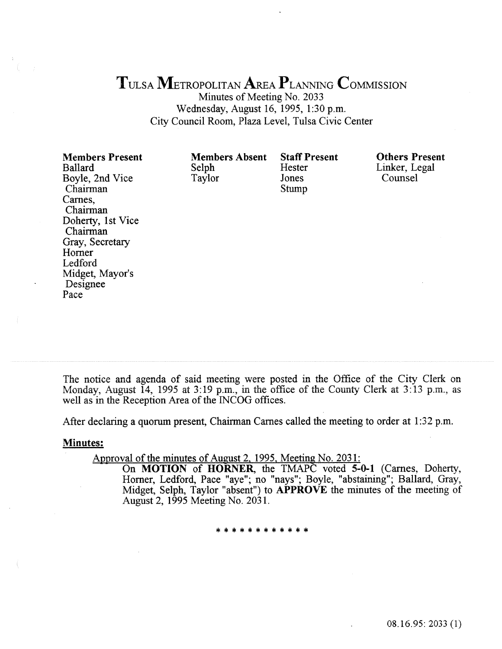## TULSA METROPOLITAN AREA PLANNING COMMISSION

Minutes of Meeting No. 2033 Wednesday, August 16, 1995, 1:30 p.m. City Council Room, Plaza Level, Tulsa Civic Center

| <b>Members Present</b><br><b>Ballard</b><br>Boyle, 2nd Vice<br>Chairman<br>Carnes,<br>Chairman<br>Doherty, 1st Vice<br>Chairman<br>Gray, Secretary<br>Horner<br>Ledford<br>Midget, Mayor's<br>Designee | <b>Members Absent</b><br>Selph<br>Taylor | <b>Staff Present</b><br>Hester<br>Jones<br>Stump | <b>Others Present</b><br>Linker, Legal<br>Counsel |
|--------------------------------------------------------------------------------------------------------------------------------------------------------------------------------------------------------|------------------------------------------|--------------------------------------------------|---------------------------------------------------|
| Pace                                                                                                                                                                                                   |                                          |                                                  |                                                   |

The notice and agenda of said meeting were posted in the Office of the City Clerk on Monday, August 14, 1995 at  $3:19$  p.m., in the office of the County Clerk at  $3:13$  p.m., as well as in the Reception Area of the INCOG offices.

After declaring a quorum present, Chairman Carnes called the meeting to order at 1:32 p.m.

#### Minutes:

Approval of the minutes of August 2, 1995, Meeting No. 2031:

On MOTION of HORNER, the TMAPC voted 5-0-1 (Carnes, Doherty, Homer, Ledford, Pace "aye"; no "nays"; Boyle, "abstaining"; Ballard, Gray, Midget, Selph, Taylor "absent") to **APPROVE** the minutes of the meeting of August 2, 1995 Meeting No. 2031.

\*\*\*\*\*\*\*\*\*\*\*\*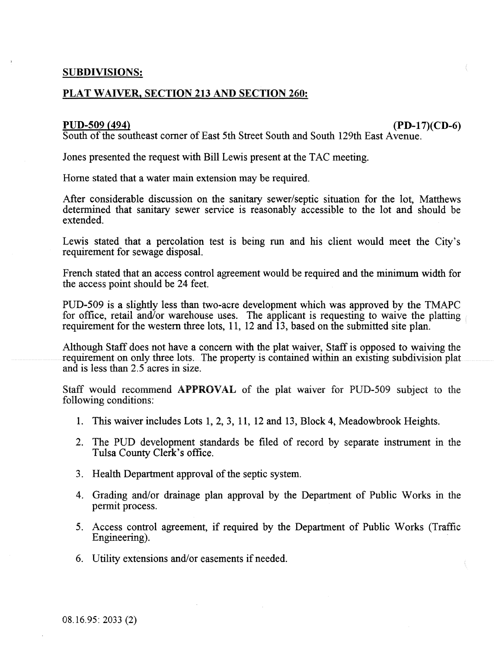#### SUBDIVISIONS:

#### PLAT WAIVER, SECTION 213 AND SECTION 260:

#### PUD-509 {494) (PD-17)(CD-6)

South of the southeast comer of East 5th Street South and South I 29th East Avenue.

Jones presented the request with Bill Lewis present at the TAC meeting.

Home stated that a water main extension may be required.

After considerable discussion on the sanitary sewer/septic situation for the lot, Matthews determined that sanitary sewer service is reasonably accessible to the lot and should be extended.

Lewis stated that a percolation test is being run and his client would meet the City's requirement for sewage disposal.

French stated that an access control agreement would be required and the minimum width for the access point should be 24 feet.

PUD-509 is a slightly less than two-acre development which was approved by the TMAPC for office, retail and/or warehouse uses. The applicant is requesting to waive the platting requirement for the western three lots, 11, 12 and 13, based on the submitted site plan.

Although Staff does not have a concern with the plat waiver, Staff is opposed to waiving the requirement on only three lots. The property is contained within an existing subdivision plat and is less than 2.5 acres in size.

Staff would recommend APPROVAL of the plat waiver for PUD-509 subject to the following conditions:

- 1. This waiver includes Lots 1, 2, 3, 11, 12 and 13, Block 4, Meadowbrook Heights.
- 2. The PUD development standards be filed of record by separate instrument in the Tulsa County Clerk's office.
- 3. Health Department approval of the septic system.
- 4. Grading and/or drainage plan approval by the Department of Public Works in the permit process.
- 5. Access control agreement, if required by the Department of Public Works (Traffic Engineering).
- 6. Utility extensions and/or easements if needed.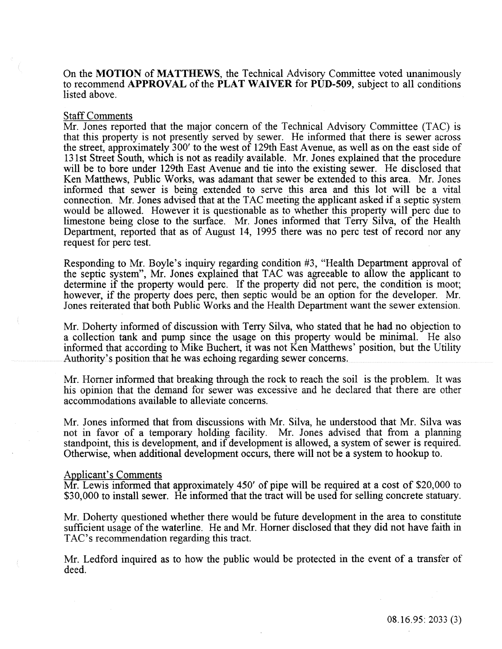On the MOTION of MATTHEWS, the Technical Advisory Committee voted unanimously to recommend APPROVAL of the PLAT WAIVER for PUD-509, subject to all conditions listed above.

#### Staff Comments

Mr. Jones reported that the major concern of the Technical Advisory Committee (TAC) is that this property is not presently served by sewer. He informed that there is sewer across the street, approximately 300' to the west of 129th East Avenue, as well as on the east side of 131st Street South, which is not as readily available. Mr. Jones explained that the procedure will be to bore under 129th East Avenue and tie into the existing sewer. He disclosed that Ken Matthews, Public Works, was adamant that sewer be extended to this area. Mr. Jones informed that sewer is being extended to serve this area and this lot will be a vital connection. Mr. Jones advised that at the TAC meeting the applicant asked if a septic system would be allowed. However it is questionable as to whether this property will perc due to limestone being close to the surface. Mr. Jones informed that Terry Silva, of the Health Department, reported that as of August 14, 1995 there was no perc test of record nor any request for perc test.

Responding to Mr. Boyle's inquiry regarding condition #3, "Health Department approval of the septic system", Mr. Jones explained that TAC was agreeable to allow the applicant to determine if the property would perc. If the property did not perc, the condition is moot; however, if the property does perc, then septic would be an option for the developer. Mr. Jones reiterated that both Public Works and the Health Department want the sewer extension.

Mr. Doherty informed of discussion with Terry Silva, who stated that he had no objection to a collection tank and pump since the usage on this property would be minimal. He also informed that according to Mike Buchert, it was not Ken Matthews' position, but the Utility Authority's position that he was echoing regarding sewer concerns.

Mr. Horner informed that breaking through the rock to reach the soil is the problem. It was his opinion that the demand for sewer was excessive and he declared that there are other accommodations available to alleviate concerns.

Mr. Jones informed that from discussions with Mr. Silva, he understood that Mr. Silva was not in favor of a temporary holding facility. Mr. Jones advised that from a planning standpoint, this is development, and if development is allowed, a system of sewer is required. Otherwise, when additional development occurs, there will not be a system to hookup to.

#### Applicant's Comments

Mr. Lewis informed that approximately 450' of pipe will be required at a cost of \$20,000 to \$30,000 to install sewer. He informed that the tract will be used for selling concrete statuary.

Mr. Doherty questioned whether there would be future development in the area to constitute sufficient usage of the waterline. He and Mr. Homer disclosed that they did not have faith in TAC's recommendation regarding this tract.

Mr. Ledford inquired as to how the public would be protected in the event of a transfer of deed.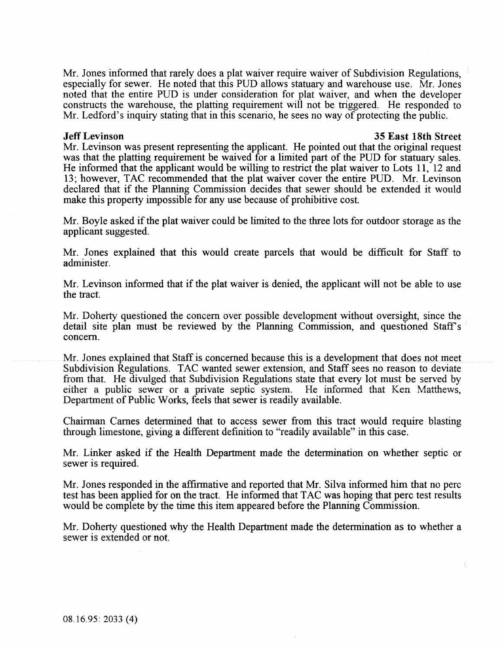Mr. Jones informed that rarely does a plat waiver require waiver of Subdivision Regulations, especially for sewer. He noted that this PUD allows statuary and warehouse use. Mr. Jones noted that the entire PUD is under consideration for plat waiver, and when the developer constructs the warehouse, the platting requirement will not be triggered. He responded to Mr. Ledford's inquiry stating that in this scenario, he sees no way of protecting the public.

#### Jeff Levinson 35 East 18th Street

Mr. Levinson was present representing the applicant. He pointed out that the original request was that the platting requirement be waived for a limited part of the PUD for statuary sales. He informed that the applicant would be willing to restrict the plat waiver to Lots 11, 12 and 13; however, TAC recommended that the plat waiver cover the entire PUD. Mr. Levinson declared that if the Planning Commission decides that sewer should be extended it would make this property impossible for any use because of prohibitive cost.

Mr. Boyle asked if the plat waiver could be limited to the three lots for outdoor storage as the applicant suggested.

Mr. Jones explained that this would create parcels that would be difficult for Staff to administer.

Mr. Levinson informed that if the plat waiver is denied, the applicant will not be able to use the tract.

Mr. Doherty questioned the concern over possible development without oversight, since the detail site plan must be reviewed by the Planning Commission, and questioned Staff's concern.

Mr. Jones explained that Staff is concerned because this is a development that does not meet Subdivision Regulations. TAC wanted sewer extension, and Staff sees no reason to deviate from that. He divulged that Subdivision Regulations state that every lot must be served by either a public sewer or a private septic system. He informed that Ken Matthews, Department of Public Works, feels that sewer is readily available.

Chairman Carnes determined that to access sewer from this tract would require blasting through limestone, giving a different definition to "readily available" in this case.

Mr. Linker asked if the Health Department made the determination on whether septic or sewer is required.

Mr. Jones responded in the affirmative and reported that Mr. Silva informed him that no perc test has been applied for on the tract. He informed that T AC was hoping that perc test results would be complete by the time this item appeared before the Planning Commission.

Mr. Doherty questioned why the Health Department made the determination as to whether a sewer is extended or not.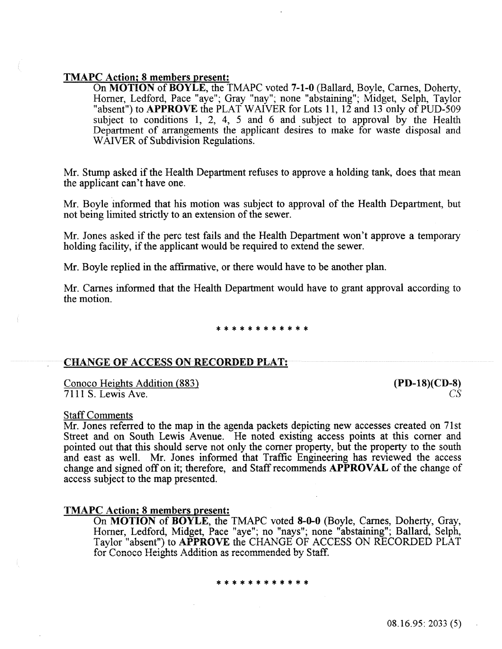#### TMAPC Action; 8 members present:

On MOTION of BOYLE, the TMAPC voted 7-1-0 (Ballard, Boyle, Carnes, Doherty, Homer, Ledford, Pace "aye"; Gray "nay"; none "abstaining"; Midget, Selph, Taylor "absent") to **APPROVE** the PLAT WAIVER for Lots 11, 12 and 13 only of PUD-509 subject to conditions 1, 2, 4, 5 and 6 and subject to approval by the Health Department of arrangements the applicant desires to make for waste disposal and WAIVER of Subdivision Regulations.

Mr. Stump asked if the Health Department refuses to approve a holding tank, does that mean the applicant can't have one.

Mr. Boyle informed that his motion was subject to approval of the Health Department, but not being limited strictly to an extension of the sewer.

Mr. Jones asked if the perc test fails and the Health Department won't approve a temporary holding facility, if the applicant would be required to extend the sewer.

Mr. Boyle replied in the affirmative, or there would have to be another plan.

Mr. Carnes informed that the Heaith Department wouid have to grant approval according to the motion.

#### \*\*\*\*\*\*\*\*\*

#### CHANGE OF ACCESS ON RECORDED PLAT:

Conoco Heights Addition (883) 7111 S. Lewis Ave.

# (PD-18)(CD-8) *cs*

#### Staff Comments

Mr. Jones referred to the map in the agenda packets depicting new accesses created on 7lst Street and on South Lewis Avenue. He noted existing access points at this corner and pointed out that this shouid serve not only the comer property, but the property to the south and east as well. Mr. Jones informed that Traffic Engineering has reviewed the access change and signed off on it; therefore, and Staff recommends APPROVAL of the change of access subject to the map presented.

#### TMAPC Action; 8 members present:

On MOTION of BOYLE, the TMAPC voted 8-0-0 (Boyle, Carnes, Doherty, Gray, Homer, Ledford, Midget, Pace "aye"; no "nays"; none "abstaining"; Ballard, Selph, Taylor "absent") to APPROVE the CHANGE OF ACCESS ON RECORDED PLAT for Conoco Heights Addition as recommended by Staff.

#### \*\*\*\*\*\*\*\*\*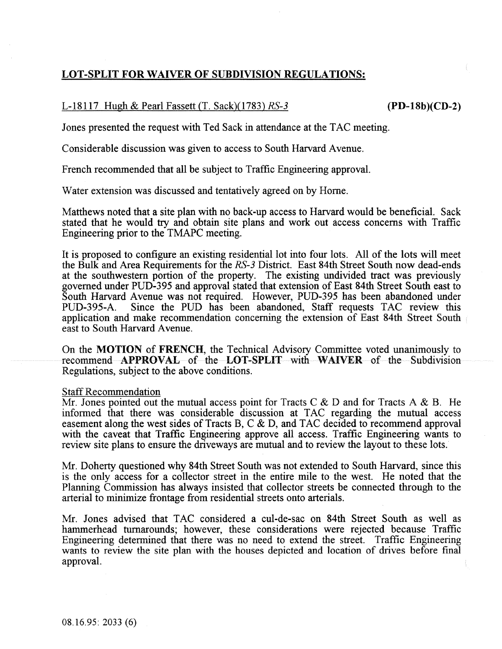#### LOT-SPLIT **FOR** WAIVER OF SUBDIVISION REGULATIONS:

#### L-18117 Hugh & Pearl Fassett (T. Sack)(1783) *RS-3* (PD-18b)(CD-2)

Jones presented the request with Ted Sack in attendance at the TAC meeting.

Considerable discussion was given to access to South Harvard Avenue.

French recommended that all be subject to Traffic Engineering approval.

Water extension was discussed and tentatively agreed on by Home.

Matthews noted that a site plan with no back-up access to Harvard would be beneficial. Sack stated that he would try and obtain site plans and work out access concerns with Traffic Engineering prior to the TMAPC meeting.

It is proposed to configure an existing residential lot into four lots. All of the lots will meet the Bulk and Area Requirements for the *RS-3* District. East 84th Street South now dead-ends at the southwestern portion of the property. The existing undivided tract was previously governed under PUD-395 and approval stated that extension of East 84th Street South east to South Harvard Avenue was not required. However, PUD-395 has been abandoned under PUD-395-A. Since the PUD has been abandoned. Staff requests TAC review this Since the PUD has been abandoned, Staff requests TAC review this application and make recommendation concerning the extension of East 84th Street South east to South Harvard Avenue.

On the MOTION of FRENCH, the Technical Advisory Committee voted unanimously to recommend APPROVAL of the LOT-SPLIT with WAIVER of the Subdivision Regulations, subject to the above conditions.

#### Staff Recommendation

Mr. Jones pointed out the mutual access point for Tracts C  $\&$  D and for Tracts A  $\&$  B. He informed that there was considerable discussion at TAC regarding the mutual access easement along the west sides of Tracts B, C & D, and TAC decided to recommend approval with the caveat that Traffic Engineering approve all access. Traffic Engineering wants to review site plans to ensure the driveways are mutual and to review the layout to these lots.

Mr. Doherty questioned why 84th Street South was not extended to South Harvard, since this is the only access for a collector street in the entire mile to the west. He noted that the Planning Commission has always insisted that collector streets be connected through to the arterial to minimize frontage from residential streets onto arterials.

Mr. Jones advised that TAC considered a cul-de-sac on 84th Street South as well as hammerhead turnarounds; however, these considerations were rejected because Traffic Engineering determined that there was no need to extend the street. Traffic Engineering. wants to review the site plan with the houses depicted and location of drives before final approval.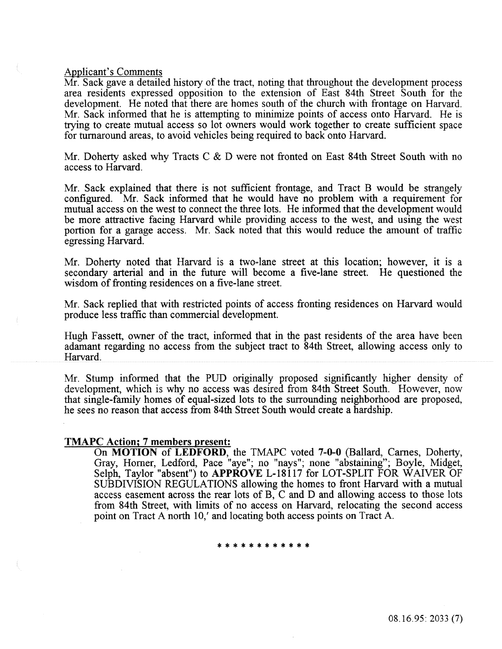#### Applicant's Comments

Mr. Sack gave a detailed history of the tract, noting that throughout the development process area residents expressed opposition to the extension of East 84th Street South for the development. He noted that there are homes south of the church with frontage on Harvard. Mr. Sack informed that he is attempting to minimize points of access onto Harvard. He is ttying to create mutual access so lot owners would work together to create sufficient space for turnaround areas, to avoid vehicies being required to back onto Harvard.

Mr. Doherty asked why Tracts C & D were not fronted on East 84th Street South with no access to Harvard.

Mr. Sack explained that there is not sufficient frontage, and Tract B would be strangely configured. Mr. Sack informed that he would have no problem with a requirement for mutual access on the west to connect the three lots. He informed that the development would be more attractive facing Harvard while providing access to the west, and using the west portion for a garage access. Mr. Sack noted that this would reduce the amount of traffic egressing Harvard.

Mr. Doherty noted that Harvard is a two~lane street at this location; however, it is a secondaty arterial and in the future will become a five-lane street. He questioned the wisdom of fronting residences on a five-lane street.

Mr. Sack replied that with restricted points of access fronting residences on Harvard would produce less traffic than commercial development.

Hugh Fassett, owner of the tract, informed that in the past residents of the area have been adamant regarding no access from the subject tract to 84th Street, allowing access only to Harvard.

Mr. Stump informed that the PUD originally proposed significantly higher density of development, which is why no access was desired from 84th Street South. However, now that single-family homes of equal-sized lots to the surrounding neighborhood are proposed, he sees no reason that access from 84th Street South would create a hardship.

#### TMAPC Action; 7 members present:

On MOTION of LEDFORD, the TMAPC voted 7-0-0 (Ballard, Carnes, Doherty, Gray, Homer, Ledford, Pace "aye"; no "nays"; none "abstaining"; Boyle, Midget, Selph, Taylor "absent") to APPROVE L-18117 for LOT-SPLIT FOR WAIVER OF SUBDIVISION REGULATIONS allowing the homes to front Harvard with a mutual access easement across the rear lots of B, C and D and allowing access to those lots from 84th Street, with limits of no access on Harvard, relocating the second access point on Tract A north 10,' and locating both access points on Tract A.

\*\*\*\*\*\*\*\*\*\*\*\*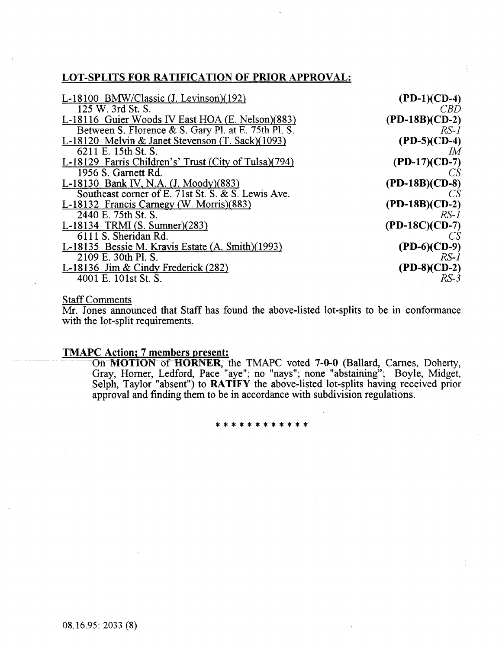### LOT-SPLITS FOR RATIFICATION OF PRIOR APPROVAL:

| L-18100 BMW/Classic (J. Levinson)(192)                | $(PD-1)(CD-4)$   |
|-------------------------------------------------------|------------------|
| 125 W. 3rd St. S.                                     | <i>CBD</i>       |
| L-18116 Guier Woods IV East HOA (E. Nelson)(883)      | $(PD-18B)(CD-2)$ |
| Between S. Florence & S. Gary Pl. at E. 75th Pl. S.   | $RS-I$           |
| L-18120 Melvin & Janet Stevenson (T. Sack)(1093)      | $(PD-5)(CD-4)$   |
| 6211 E. 15th St. S.                                   | ΙM               |
| L-18129 Farris Children's' Trust (City of Tulsa)(794) | $(PD-17)$ (CD-7) |
| 1956 S. Garnett Rd.                                   | CS.              |
| L-18130 Bank IV, N.A. (J. Moody)(883)                 | $(PD-18B)(CD-8)$ |
| Southeast corner of E. 71st St. S. & S. Lewis Ave.    | -CS              |
| L-18132 Francis Carnegy (W. Morris)(883)              | $(PD-18B)(CD-2)$ |
| 2440 E. 75th St. S.                                   | $RS-1$           |
| L-18134 TRMI $(S. Sumner)(283)$                       | $(PD-18C)(CD-7)$ |
| 6111 S. Sheridan Rd.                                  |                  |
| L-18135 Bessie M. Kravis Estate (A. Smith)(1993)      | $(PD-6)(CD-9)$   |
| 2109 E. 30th Pl. S.                                   | $RS-1$           |
| L-18136 Jim & Cindy Frederick $(282)$                 | $(PD-8)(CD-2)$   |
| 4001 E. 101st St. S.                                  | $RS-3$           |

#### **Staff Comments**

Mr. Jones announced that Staff has found the above-listed lot-splits to be in conformance with the lot-split requirements.

#### TMAPC Action; 7 members present:

On MOTION of HORNER, the TMAPC voted 7-0-0 (Ballard, Carnes, Doherty, Gray, Homer, Ledford, Pace "aye"; no "nays"; none "abstaining"; Boyle, Midget, Selph, Taylor "absent") to RATIFY the above-listed lot-splits having received prior approval and fmding them to be in accordance with subdivision regulations.

\*\*\*\*\*\*\*\*\*\*\*\*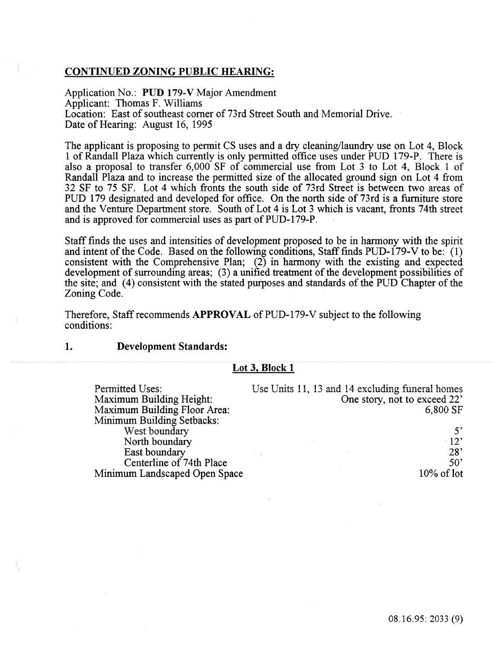#### CONTINUED ZONING PUBLIC HEARING:

Application No.: PUD 179-V Major Amendment Applicant: Thomas F. Williams Location: East of southeast corner of 73rd Street South and Memorial Drive. Date of Hearing: August 16, 1995

The applicant is proposing to permit CS uses and a dry cleaning/laundry use on Lot 4, Block 1 of Randall Plaza which currently is only permitted office uses under PUD 179-P. There is also a proposal to transfer 6,000 SF of commercial use from Lot 3 to Lot 4, Block 1 of Randall Plaza and to increase the permitted size of the allocated ground sign on Lot 4 from 32 SF to 75 SF. Lot 4 which fronts the south side of 73rd Street is between two areas of PUD 179 designated and developed for office. On the north side of 73rd is a furniture store and the Venture Department store. South of Lot 4 is Lot 3 which is vacant, fronts 74th street and is approved for commercial uses as part of PUD-179-P.

Staff fmds the uses and intensities of development proposed to be in harmony with the spirit and intent of the Code. Based on the following conditions, Staff finds PUD-179-V to be: (1) consistent with the Comprehensive Plan;  $(2)$  in harmony with the existing and expected development of surrounding areas; (3) a unified treatment of the development possibilities of the site; and (4) consistent with the stated purposes and standards of the PUD Chapter of the Zoning Code.

Therefore, Staff recommends **APPROVAL** of PUD-179-V subject to the following conditions:

#### 1. Development Standards:

| Permitted Uses:                     | Use Units 11, 13 and 14 excluding funeral homes |
|-------------------------------------|-------------------------------------------------|
| <b>Maximum Building Height:</b>     | One story, not to exceed 22'                    |
| <b>Maximum Building Floor Area:</b> | 6,800 SF                                        |
| <b>Minimum Building Setbacks:</b>   |                                                 |
| West boundary                       | 5'                                              |
| North boundary                      | $-12$                                           |
| East boundary                       | $28^{\circ}$                                    |
| Centerline of 74th Place            | $50^{\circ}$                                    |
| Minimum Landscaped Open Space       | $10\%$ of lot                                   |
|                                     |                                                 |

#### Lot 3, Block 1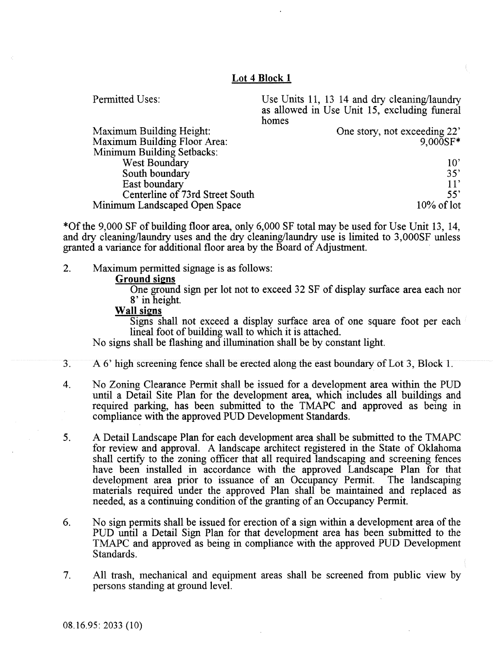#### Lot 4 Block 1

| Permitted Uses:                 | Use Units 11, 13 14 and dry cleaning/laundry<br>as allowed in Use Unit 15, excluding funeral<br>homes |
|---------------------------------|-------------------------------------------------------------------------------------------------------|
| <b>Maximum Building Height:</b> | One story, not exceeding 22'                                                                          |
| Maximum Building Floor Area:    | $9.000SF*$                                                                                            |
| Minimum Building Setbacks:      |                                                                                                       |
| <b>West Boundary</b>            | $10^{\circ}$                                                                                          |
| South boundary                  | 35'                                                                                                   |
| East boundary                   | 11'                                                                                                   |
| Centerline of 73rd Street South | 55'                                                                                                   |
|                                 |                                                                                                       |

Minimum Landscaped Open Space

\*Of the 9,000 SF of building floor area, only 6,000 SF total may be used for Use Unit 13, 14, and dry cleaning/laundry uses and the dry cleaning/laundry use is limited to 3,000SF unless granted a variance for additional floor area by the Board of Adjustment.

2. Maximum permitted signage is as follows:

#### Ground signs

One ground sign per lot not to exceed 32 SF of display surface area each nor 8' in height.

10% of lot

#### Wall signs

Signs shall not exceed a display surface area of one square foot per each lineal foot of building wall to which it is attached.

No signs shall be flashing and illumination shall be by constant light.

- 3. A 6' high screening fence shall be erected along the east boundary of Lot 3, Block 1.
- 4. No Zoning Clearance Permit shall be issued for a development area within the PUD until a Detail Site Plan for the development area, which includes all buildings and required parking, has been submitted to the TMAPC and approved as being in compliance with the approved PUD Development Standards.
- 5. A Detail Landscape Plan for each development area shall be submitted to the TMAPC for review and approval. A landscape architect registered in the State of Oklahoma shall certify to the zoning officer that all required landscaping and screening fences have been installed in accordance with the approved Landscape Plan for that development area prior to issuance of an Occupancy Permit. The landscaping development area prior to issuance of an Occupancy Permit. materials required under the approved Plan shall be maintained and replaced as needed, as a continuing condition of the granting of an Occupancy Permit.
- 6. No sign permits shall be issued for erection of a sign within a development area of the PUD until a Detail Sign Plan for that development area has been submitted to the TMAPC and approved as being in compiiance with the approved PUD Development Standards.
- 7. All trash, mechanical and equipment areas shall be screened from public view by persons standing at ground level.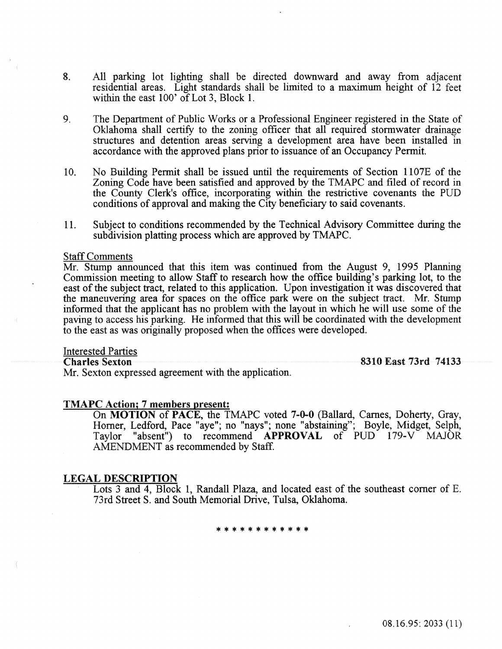- 8. All parking lot lighting shall be directed downward and away from adjacent residential areas. Light standards shall be limited to a maximum height of 12 feet within the east 100' of Lot 3, Block 1.
- 9. The Department of Public Works or a Professional Engineer registered in the State of Oklahoma shall certify to the zoning officer that all required stormwater drainage structures and detention areas serving a development area have been installed in accordance with the approved plans prior to issuance of an Occupancy Permit.
- 10. No Building Permit shall be issued until the requirements of Section 1107E of the Zoning Code have been satisfied and approved by the TMAPC and filed of record in the County Cierk's office, incorporating within the restrictive covenants the PUD conditions of approval and making the City beneficiary to said covenants.
- 11. Subject to conditions recommended by the Technical Advisory Committee during the subdivision platting process which are approved by TMAPC.

#### Staff Comments

Mr. Stump announced that this item was continued from the August 9, 1995 Planning Commission meeting to allow Staff to research how the office building's parking lot, to the east of the subject tract, related to this application. Upon investigation it was discovered that the maneuvering area for spaces on the office park were on the subject tract. Mr. Stump informed that the applicant has no problem with the layout in which he will use some of the paving to access his parking. He informed that this will be coordinated with the deveiopment to the east as was originally proposed when the offices were developed.

# **Interested Parties**<br>Charles Sexton

Mr. Sexton expressed agreement with the application.

8310 East 73rd 74133

#### TMAPC Action; 7 members present:

On MOTION of PACE, the TMAPC voted 7-0-0 (Ballard, Carnes, Doherty, Gray, Homer, Ledford, Pace "aye"; no "nays"; none "abstaining"; Boyle, Midget, Selph, Taylor "absent") to recommend APPROVAL of PUD 179-V MAJOR AMENDMENT as recommended by Staff.

#### LEGAL DESCRIPTION

Lots 3 and 4, Block 1, Randall Plaza, and located east of the southeast comer of E. 73rd StreetS. and South Memorial Drive, Tulsa, Oklahoma.

\*\*\*\*\*\*\*\*\*

08.16.95: 2033 (11)